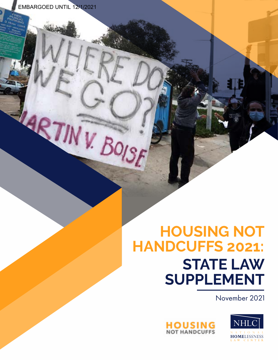EMBARGOED UNTIL 12/1/2021

MRTINY BOISE

# **HOUSING NOT HANDCUFFS 2021: STATE LAW SUPPLEMENT**

November 2021



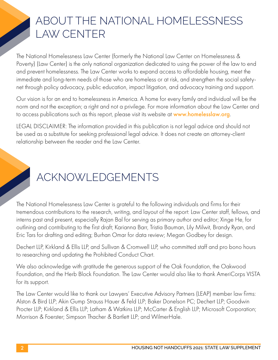### ABOUT THE NATIONAL HOMELESSNESS LAW CENTER

The National Homelessness Law Center (formerly the National Law Center on Homelessness & Poverty) (Law Center) is the only national organization dedicated to using the power of the law to end and prevent homelessness. The Law Center works to expand access to affordable housing, meet the immediate and long-term needs of those who are homeless or at risk, and strengthen the social safetynet through policy advocacy, public education, impact litigation, and advocacy training and support.

Our vision is for an end to homelessness in America. A home for every family and individual will be the norm and not the exception; a right and not a privilege. For more information about the Law Center and to access publications such as this report, please visit its website at [www.homelesslaw.org](http://www.homelesslaw.org).

LEGAL DISCLAIMER: The information provided in this publication is not legal advice and should not be used as a substitute for seeking professional legal advice. It does not create an attorney-client relationship between the reader and the Law Center.

# ACKNOWLEDGEMENTS

The National Homelessness Law Center is grateful to the following individuals and firms for their tremendous contributions to the research, writing, and layout of the report: Law Center staff, fellows, and interns past and present, especially Rajan Bal for serving as primary author and editor; Xinge He, for outlining and contributing to the first draft; Karianna Barr, Tristia Bauman, Lily Milwit, Brandy Ryan, and Eric Tars for drafting and editing; Burhan Omar for data review; Megan Godbey for design.

Dechert LLP, Kirkland & Ellis LLP, and Sullivan & Cromwell LLP, who committed staff and pro bono hours to researching and updating the Prohibited Conduct Chart.

We also acknowledge with gratitude the generous support of the Oak Foundation, the Oakwood Foundation, and the Herb Block Foundation. The Law Center would also like to thank AmeriCorps VISTA for its support.

The Law Center would like to thank our Lawyers' Executive Advisory Partners (LEAP) member law firms: Alston & Bird LLP; Akin Gump Strauss Hauer & Feld LLP; Baker Donelson PC; Dechert LLP; Goodwin Procter LLP; Kirkland & Ellis LLP; Latham & Watkins LLP; McCarter & English LLP; Microsoft Corporation; Morrison & Foerster; Simpson Thacher & Bartlett LLP; and WilmerHale.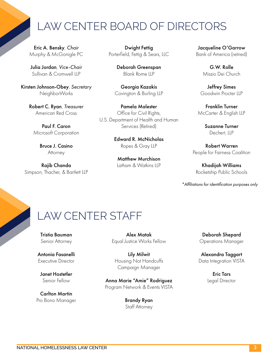### LAW CENTER BOARD OF DIRECTORS

Eric A. Bensky, *Chair* Murphy & McGonigle PC

Julia Jordan, *Vice-Chair* Sullivan & Cromwell LLP

Kirsten Johnson-Obey, *Secretary* NeighborWorks

> Robert C. Ryan, *Treasurer* American Red Cross

Paul F. Caron Microsoft Corporation

> Bruce J. Casino **Attorney**

Rajib Chanda Simpson, Thacher, & Bartlett LLP

Dwight Fettig Porterfield, Fettig & Sears, LLC

> Deborah Greenspan Blank Rome LLP

Georgia Kazakis Covington & Burling LLP

Pamela Malester Office for Civil Rights, U.S. Department of Health and Human Services (Retired)

> Edward R. McNicholas Ropes & Gray LLP

Matthew Murchison Latham & Watkins LLP

Jacqueline O'Garrow Bank of America (retired)

> G.W. Rolle Missio Dei Church

Jeffrey Simes Goodwin Procter LLP

Franklin Turner McCarter & English LLP

> Suzanne Turner Dechert, LLP

Robert Warren People for Fairness Coalition

Khadijah Williams Rocketship Public Schools

*\*Affiliations for identification purposes only*

### LAW CENTER STAFF

Tristia Bauman Senior Attorney

Antonia Fasanelli Executive Director

Janet Hostetler Senior Fellow

Carlton Martin Pro Bono Manager

Alex Matak Equal Justice Works Fellow

Lily Milwit Housing Not Handcuffs Campaign Manager

Anna Marie "Amie" Rodriguez Program Network & Events VISTA

> Brandy Ryan Staff Attorney

Deborah Shepard Operations Manager

Alexandra Taggart Data Integration VISTA

> Eric Tars Legal Director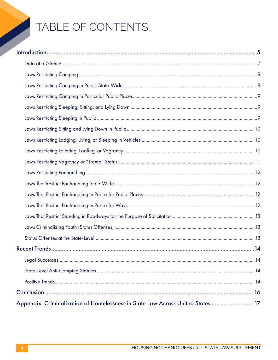# TABLE OF CONTENTS

| Appendix: Criminalization of Homelessness in State Law Across United States  17 |  |
|---------------------------------------------------------------------------------|--|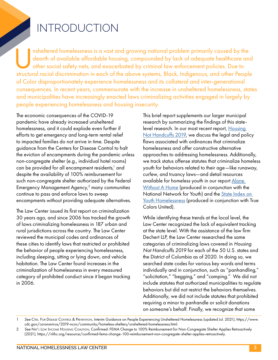## INTRODUCTION

Insheltered homelessness is a vast and growing national problem primarily caused by the dearth of available affordable housing, compounded by lack of adequate healthcare and other social safety nets, and exacerbated by cri dearth of available affordable housing, compounded by lack of adequate healthcare and other social safety nets, and exacerbated by criminal law enforcement policies. Due to structural racial discrimination in each of the above systems, Black, Indigenous, and other People of Color disproportionately experience homelessness and its collateral and inter-generational consequences. In recent years, commensurate with the increase in unsheltered homelessness, states and municipalities have increasingly enacted laws criminalizing activities engaged in largely by people experiencing homelessness and housing insecurity.

The economic consequences of the COVID-19 pandemic have already increased unsheltered homelessness, and it could explode even further if efforts to get emergency and long-term rental relief to impacted families do not arrive in time. Despite guidance from the Centers for Disease Control to halt the eviction of encampments during the pandemic unless non-congregate shelter (e.g., individual hotel rooms) can be provided for all encampment residents, $^{\rm l}$  and despite the availability of 100% reimbursement for such non-congregate shelter authorized by the Federal Emergency Management Agency,<sup>2</sup> many communities continue to pass and enforce laws to sweep encampments without providing adequate alternatives.

The Law Center issued its first report on criminalization 30 years ago, and since 2006 has tracked the growth of laws criminalizing homelessness in 187 urban and rural jurisdictions across the country. The Law Center reviewed the municipal codes and ordinances of these cities to identify laws that restricted or prohibited the behavior of people experiencing homelessness, including sleeping, sitting or lying down, and vehicle habitation. The Law Center found increases in the criminalization of homelessness in every measured category of prohibited conduct since it began tracking in 2006.

This brief report supplements our larger municipal research by summarizing the findings of this statelevel research. In our most recent report, Housing [Not Handcuffs 2019,](https://homelesslaw.org/wp-content/uploads/2019/12/HOUSING-NOT-HANDCUFFS-2019-FINAL.pdf) we discuss the legal and policy flaws associated with ordinances that criminalize homelessness and offer constructive alternative approaches to addressing homelessness. Additionally, we track status offense statutes that criminalize homeless youth for behaviors related to their age—like runaway, curfew, and truancy laws—and detail resources available for homeless youth in our report [Alone](https://homelesslaw.org/wp-content/uploads/2019/04/AWAH-report.pdf)  [Without A Home](https://homelesslaw.org/wp-content/uploads/2019/04/AWAH-report.pdf) (produced in conjunction with the National Network for Youth) and the [State Index on](https://www.youthstateindex.com/)  [Youth Homelessness](https://www.youthstateindex.com/) (produced in conjunction with True Colors United).

While identifying these trends at the local level, the Law Center recognized the lack of equivalent tracking at the state level. With the assistance of the law firm Dechert LLP, the Law Center researched the same categories of criminalizing laws covered in *Housing Not Handcuffs 2019* for each of the 50 U.S. states and the District of Columbia as of 2020. In doing so, we searched state codes for various key words and terms individually and in conjunction, such as "panhandling," "solicitation," "begging," and "camping." We did not include statutes that authorized municipalities to regulate behaviors but did not restrict the behaviors themselves. Additionally, we did not include statutes that prohibited requiring a minor to panhandle or solicit donations on someone's behalf. Finally, we recognize that some

<sup>1</sup> *See* Ctrs. For Disease Control & Prevention, Interim Guidance on People Experiencing Unsheltered Homelessness (updated Jul. 2021), https://www. cdc.gov/coronavirus/2019-ncov/community/homeless-shelters/unsheltered-homelessness.html.

<sup>2</sup> *See* Nat'l Low Income Housing Coalition, Confirmed: FEMA Change to 100% Reimbursement for Non-Congregate Shelter Applies Retroactively (2021), https://nlihc.org/resource/confirmed-fema-change-100-reimbursement-non-congregate-shelter-applies-retroactively.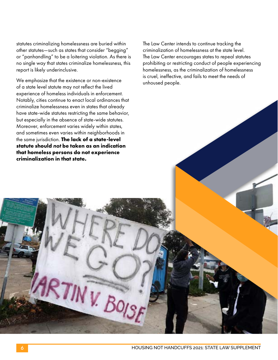statutes criminalizing homelessness are buried within other statutes—such as states that consider "begging" or "panhandling" to be a loitering violation. As there is no single way that states criminalize homelessness, this report is likely underinclusive.

We emphasize that the existence or non-existence of a state level statute may not reflect the lived experience of homeless individuals in enforcement. Notably, cities continue to enact local ordinances that criminalize homelessness even in states that already have state-wide statutes restricting the same behavior, but especially in the absence of state-wide statutes. Moreover, enforcement varies widely within states, and sometimes even varies within neighborhoods in the same jurisdiction. **The lack of a state-level statute should** *not* **be taken as an indication that homeless persons do not experience criminalization in that state.**

The Law Center intends to continue tracking the criminalization of homelessness at the state level. The Law Center encourages states to repeal statutes prohibiting or restricting conduct of people experiencing homelessness, as the criminalization of homelessness is cruel, ineffective, and fails to meet the needs of unhoused people.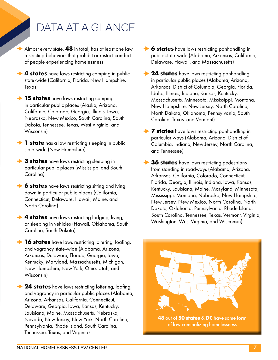# DATA AT A GLANCE

Almost every state, **48** in total, has at least one law restricting behaviors that prohibit or restrict conduct of people experiencing homelessness

**4 states** have laws restricting camping in public state-wide (California, Florida, New Hampshire, Texas)

**15 states** have laws restricting camping in particular public places (Alaska, Arizona, California, Colorado, Georgia, Illinois, Iowa, Nebraska, New Mexico, South Carolina, South Dakota, Tennessee, Texas, West Virginia, and Wisconsin)

**1 state** has a law restricting sleeping in public state-wide (New Hampshire)

**→ 3 states** have laws restricting sleeping in particular public places (Mississippi and South Carolina)

**6 states** have laws restricting sitting and lying down in particular public places (California, Connecticut, Delaware, Hawaii, Maine, and North Carolina)

**4 states** have laws restricting lodging, living, or sleeping in vehicles (Hawaii, Oklahoma, South Carolina, South Dakota)

**16 states** have laws restricting loitering, loafing, and vagrancy state-wide (Alabama, Arizona, Arkansas, Delaware, Florida, Georgia, Iowa, Kentucky, Maryland, Massachusetts, Michigan, New Hampshire, New York, Ohio, Utah, and Wisconsin)

**24 states** have laws restricting loitering, loafing, and vagrancy in particular public places (Alabama, Arizona, Arkansas, California, Connecticut, Delaware, Georgia, Iowa, Kansas, Kentucky, Louisiana, Maine, Massachusetts, Nebraska, Nevada, New Jersey, New York, North Carolina, Pennsylvania, Rhode Island, South Carolina, Tennessee, Texas, and Virginia)

- **6 states** have laws restricting panhandling in public state-wide (Alabama, Arkansas, California, Delaware, Hawaii, and Massachusetts)
- **124 states** have laws restricting panhandling in particular public places (Alabama, Arizona, Arkansas, District of Columbia, Georgia, Florida, Idaho, Illinois, Indiana, Kansas, Kentucky, Massachusetts, Minnesota, Mississippi, Montana, New Hampshire, New Jersey, North Carolina, North Dakota, Oklahoma, Pennsylvania, South Carolina, Texas, and Vermont)
- **7 states** have laws restricting panhandling in particular ways (Alabama, Arizona, District of Columbia, Indiana, New Jersey, North Carolina, and Tennessee)
- **→ 36 states** have laws restricting pedestrians from standing in roadways (Alabama, Arizona, Arkansas, California, Colorado, Connecticut, Florida, Georgia, Illinois, Indiana, Iowa, Kansas, Kentucky, Louisiana, Maine, Maryland, Minnesota, Mississippi, Montana, Nebraska, New Hampshire, New Jersey, New Mexico, North Carolina, North Dakota, Oklahoma, Pennsylvania, Rhode Island, South Carolina, Tennessee, Texas, Vermont, Virginia, Washington, West Virginia, and Wisconsin)

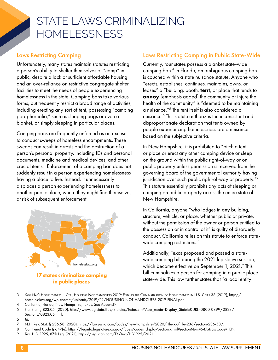### STATE LAWS CRIMINALIZING HOMELESSNESS

#### Laws Restricting Camping

Unfortunately, many states maintain statutes restricting a person's ability to shelter themselves or "camp" in public, despite a lack of sufficient affordable housing and an over-reliance on restrictive congregate shelter facilities to meet the needs of people experiencing homelessness in the state. Camping bans take various forms, but frequently restrict a broad range of activities, including erecting any sort of tent, possessing "camping paraphernalia," such as sleeping bags or even a blanket, or simply sleeping in particular places.

Camping bans are frequently enforced as an excuse to conduct sweeps of homeless encampments. These sweeps can result in arrests and the destruction of a person's personal property, including IDs and personal documents, medicine and medical devices, and other crucial items.3 Enforcement of a camping ban does not suddenly result in a person experiencing homelessness having a place to live. Instead, it unnecessarily displaces a person experiencing homelessness to another public place, where they might find themselves at risk of subsequent enforcement.



#### Laws Restricting Camping in Public State-Wide

Currently, four states possess a blanket state-wide camping ban.4 In Florida, an ambiguous camping ban is couched within a state nuisance statute. Anyone who "erects, establishes, continues, maintains, owns, or leases" a "building, booth, **tent**, or place that tends to **annoy** [emphasis added] the community or injure the health of the community" is "deemed to be maintaining a nuisance."5 The tent itself is also considered a nuisance.6 This statute authorizes the inconsistent and disproportionate declaration that tents owned by people experiencing homelessness are a nuisance based on the subjective criteria.

In New Hampshire, it is prohibited to "pitch a tent or place or erect any other camping device or sleep on the ground within the public right-of-way or on public property unless permission is received from the governing board of the governmental authority having jurisdiction over such public right-of-way or property."7 This statute essentially prohibits any acts of sleeping or camping on public property across the entire state of New Hampshire.

In California, anyone "who lodges in any building, structure, vehicle, or place, whether public or private, without the permission of the owner or person entitled to the possession or in control of it" is guilty of disorderly conduct. California relies on this statute to enforce statewide camping restrictions.<sup>8</sup>

Additionally, Texas proposed and passed a statewide camping bill during the 2021 legislative session, which became effective on September 1, 2021.<sup>9</sup> This bill criminalizes a person for camping in a public place state-wide. This law further states that "a local entity

4 California, Florida, New Hampshire, Texas. *See* Appendix.

6 *Id.*

9 Tex. H.B. 1925, 87th Leg. (2021), https://legiscan.com/TX/text/HB1925/2021.

<sup>3</sup> *See* Nat'l Homelessness L. Ctr., Housing Not Handcuffs 2019: Ending the Criminalization of Homelessness in U.S. Cities 38 (2019), http:// homelesslaw.org/wp-content/uploads/2019/12/HOUSING-NOT-HANDCUFFS-2019-FINAL.pdf.

<sup>5</sup> Fla. Stat. § 823.05, (2020), http://www.leg.state.fl.us/Statutes/index.cfm?App\_mode=Display\_Statute&URL=0800-0899/0823/ Sections/0823.05.html.

<sup>7</sup> N.H. Rev. Stat. § 236:58 (2020), https://law.justia.com/codes/new-hampshire/2020/title-xx/title-236/section-236-58/.

<sup>8</sup> Cal. Penal Code § 647(e), https://leginfo.legislature.ca.gov/faces/codes\_displaySection.xhtml?sectionNum=647.&lawCode=PEN.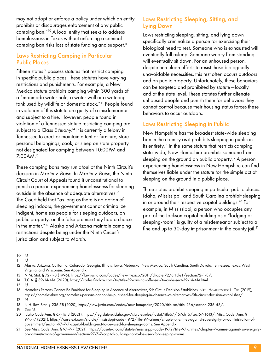may not adopt or enforce a policy under which an entity prohibits or discourages enforcement of any public camping ban."10 A local entity that seeks to address homelessness in Texas without enforcing a criminal camping ban risks loss of state funding and support.<sup>11</sup>

#### Laws Restricting Camping in Particular Public Places

Fifteen states<sup>12</sup> possess statutes that restrict camping in specific public places. These statutes have varying restrictions and punishments. For example, a New Mexico statute prohibits camping within 300 yards of a "manmade water hole, a water well or a watering tank used by wildlife or domestic stock."13 People found in violation of this statute are guilty of a misdemeanor and subject to a fine. However, people found in violation of a Tennessee statute restricting camping are subject to a Class E *felony*. 14 It is currently a felony in Tennessee to erect or maintain a tent or furniture, store personal belongings, cook, or sleep on state property not designated for camping between 10:00PM and 7:00AM.15

These camping bans may run afoul of the Ninth Circuit's decision in *Martin v. Boise*. In *Martin v. Boise*, the Ninth Circuit Court of Appeals found it unconstitutional to punish a person experiencing homelessness for sleeping outside in the absence of adequate alternatives.<sup>16</sup> The Court held that "as long as there is no option of sleeping indoors, the government cannot criminalize indigent, homeless people for sleeping outdoors, on public property, on the false premise they had a choice in the matter."17 Alaska and Arizona maintain camping restrictions despite being under the Ninth Circuit's jurisdiction and subject to *Martin*.

#### Laws Restricting Sleeping, Sitting, and Lying Down

Laws restricting sleeping, sitting, and lying down specifically criminalize a person for exercising their biological need to rest. Someone who is exhausted will eventually fall asleep. Someone weary from standing will eventually sit down. For an unhoused person, despite herculean efforts to resist these biologically unavoidable necessities, this rest often occurs outdoors and on public property. Unfortunately, these behaviors can be targeted and prohibited by statute—locally and at the state level. These statutes further alienate unhoused people and punish them for behaviors they cannot control because their housing status forces these behaviors to occur outdoors.

#### Laws Restricting Sleeping in Public

New Hampshire has the broadest state-wide sleeping ban in the country as it prohibits sleeping in public in its entirety.<sup>18</sup> In the same statute that restricts camping state-wide, New Hampshire prohibits someone from sleeping on the ground on public property.<sup>19</sup> A person experiencing homelessness in New Hampshire can find themselves liable under the statute for the simple act of sleeping on the ground in a public place.

Three states prohibit sleeping in particular public places. Idaho, Mississippi, and South Carolina prohibit sleeping in or around their respective capitol buildings.20 For example, in Mississippi, a person who occupies any part of the Jackson capitol building as a "lodging or sleeping-room" is guilty of a misdemeanor subject to a fine and up to  $30$ -day imprisonment in the county jail.<sup>21</sup>

- 12 Alaska, Arizona, California, Colorado, Georgia, Illinois, Iowa, Nebraska, New Mexico, South Carolina, South Dakota, Tennessee, Texas, West Virginia, and Wisconsin. *See* Appendix.
- 13 N.M. Stat. § 72-1-8 (1996), https://law.justia.com/codes/new-mexico/2011/chapter72/article1/section72-1-8/.
- 14 T.C.A. § 39-14-414 (2020), https://codes.findlaw.com/tn/title-39-criminal-offenses/tn-code-sect-39-14-414.html.
- 15 *Id.*

18 N.H. Rev. Stat. § 236:58 (2020), https://law.justia.com/codes/new-hampshire/2020/title-xx/title-236/section-236-58/.

- 20 Idaho Code Ann. § 67-1613 (2021), https://legislature.idaho.gov/statutesrules/idstat/title67/t67ch16/sect67-1613/; Miss. Code. Ann. § 97-7-7 (2021), https://casetext.com/statute/mississippi-code-1972/title-97-crimes/chapter-7-crimes-against-sovereignty-or-administration-ofgovernment/section-97-7-7-capitol-building-not-to-be-used-for-sleeping-rooms. *See* Appendix.
- 21 *See* Miss. Code. Ann. § 97-7-7 (2021), https://casetext.com/statute/mississippi-code-1972/title-97-crimes/chapter-7-crimes-against-sovereigntyor-administration-of-government/section-97-7-7-capitol-building-not-to-be-used-for-sleeping-rooms.

<sup>10</sup> *Id.*

<sup>11</sup> *Id.*

<sup>16</sup> Homeless Persons Cannot Be Punished for Sleeping in Absence of Alternatives, 9th Circuit Decision Establishes, NAT'L HOMELESSNESS L. CTR. (2019), https://homelesslaw.org/homeless-persons-cannot-be-punished-for-sleeping-in-absence-of-alternatives-9th-circuit-decision-establishes/. 17 *Id.*

<sup>19</sup> *See Id.*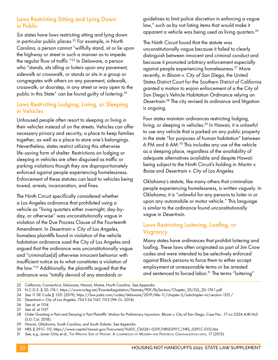#### Laws Restricting Sitting and Lying Down in Public

Six states have laws restricting sitting and lying down in particular public places.<sup>22</sup> For example, in North Carolina, a person cannot "willfully stand, sit or lie upon the highway or street in such a manner as to impede the regular flow of traffic."23 In Delaware, a person who "stands, sits idling or loiters upon any pavement, sidewalk or crosswalk, or stands or sits in a group or congregates with others on any pavement, sidewalk, crosswalk, or doorstep, in any street or way open to the public in this State" can be found guilty of loitering.<sup>24</sup>

#### Laws Restricting Lodging, Living, or Sleeping in Vehicles

Unhoused people often resort to sleeping or living in their vehicles instead of on the streets. Vehicles can offer necessary privacy and security, a place to keep families together, as well as a place to store one's belongings. Nevertheless, states restrict utilizing this otherwise life-saving form of shelter. Restrictions on lodging or sleeping in vehicles are often disguised as traffic or parking violations though they are disproportionately enforced against people experiencing homelessness. Enforcement of these statutes can lead to vehicles being towed, arrests, incarceration, and fines.

The Ninth Circuit specifically considered whether a Los Angeles ordinance that prohibited using a vehicle as "living quarters either overnight, day-byday, or otherwise" was unconstitutionally vague in violation of the Due Process Clause of the Fourteenth Amendment. In *Desertrain v. City of Los Angeles*, homeless plaintiffs found in violation of the vehicle habitation ordinance sued the City of Los Angeles and argued that the ordinance was unconstitutionally vague and "criminalize[d] otherwise innocent behavior with insufficient notice as to what constitutes a violation of the law."25 Additionally, the plaintiffs argued that the ordinance was "totally devoid of any standards or

guidelines to limit police discretion in enforcing a vague law," such as by not listing items that would make it apparent a vehicle was being used as living quarters.<sup>26</sup>

The Ninth Circuit found that the statute was unconstitutionally vague because it failed to clearly distinguish between innocent and criminal conduct and because it promoted arbitrary enforcement especially against people experiencing homelessness.27 More recently, in *Bloom v. City of San Diego,* the United States District Court for the Southern District of California granted a motion to enjoin enforcement of a the City of San Diego's Vehicle Habitation Ordinance relying on *Desertrain*. 28 The city revised its ordinance and litigation is ongoing.

Four states maintain ordinances restricting lodging, living, or sleeping in vehicles.29 In Hawaii, it is unlawful to use any vehicle that is parked on any public property in the state "for purposes of human habitation" between 6 PM and 6 AM.30 This includes any use of the vehicle as a sleeping place, regardless of the availability of adequate alternatives available and despite Hawaii being subject to the Ninth Circuit's holding in *Martin v. Boise* and *Desertrain v. City of Los Angeles.*

Oklahoma's statute, like many others that criminalize people experiencing homelessness, is written vaguely. In Oklahoma, it is "unlawful for any persons to loiter in or upon any automobile or motor vehicle." This language is similar to the ordinance found unconstitutionally vague in *Desertrain*.

#### Laws Restricting Loitering, Loafing, or Vagrancy

Many states have ordinances that prohibit loitering and loafing. These laws often originated as part of Jim Crow codes and were intended to be selectively enforced against Black persons to force them to either accept employment at unreasonable terms or be arrested and sentenced to forced labor.<sup>31</sup> The terms "loitering"

<sup>22</sup> California, Connecticut, Delaware, Hawaii, Maine, North Carolina. *See* Appendix.

<sup>23</sup> N.C.G.S. § 20-174.1, https://www.ncleg.net/EnactedLegislation/Statutes/PDF/BySection/Chapter\_20/GS\_20-174.1.pdf.

<sup>24</sup> *See* 11 DE Code § 1321 (2019), https://law.justia.com/codes/delaware/2019/title-11/chapter-5/subchapter-vii/section-1321/.

<sup>25</sup> *Desertrain v. City of Los Angeles*, 754 F.3d 1147, 1153 (9th Cir. 2014).

<sup>26</sup> *See id.* at 1154.

<sup>27</sup> *See id.* at 1157.

<sup>28</sup> Order Granting in Part and Denying in Part Plaintiffs' Motion for Preliminary Injunction, *Bloom v. City of San Diego*, Case No.: 17-cv-2324-AJB-NLS (S.D. Cal. 2018).

<sup>29</sup> Hawaii, Oklahoma, South Carolina, and South Dakota. *See* Appendix.

<sup>30</sup> HRS § 291C-112, https://www.capitol.hawaii.gov/hrscurrent/Vol05\_Ch0261-0319/HRS0291C/HRS\_0291C-0112.htm

<sup>31</sup> *See, e.g.,* Javier Ortiz et al., The Wrong Side of History: A comparison of Modern and Historical Criminalization laws, 17 (2015).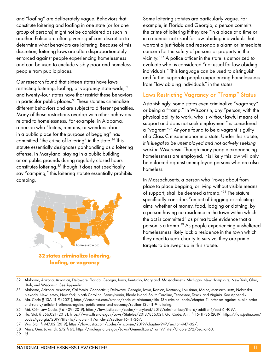and "loafing" are deliberately vague. Behaviors that constitute loitering and loafing in one state (or for one group of persons) might not be considered as such in another. Police are often given significant discretion to determine what behaviors are loitering. Because of this discretion, loitering laws are often disproportionately enforced against people experiencing homelessness and can be used to exclude visibly poor and homeless people from public places.

Our research found that sixteen states have laws restricting loitering, loafing, or vagrancy state-wide, 32 and twenty-four states have that restrict these behaviors in particular public places.<sup>33</sup> These statutes criminalize different behaviors and are subject to different penalties. Many of these restrictions overlap with other behaviors related to homelessness. For example, in Alabama, a person who "loiters, remains, or wanders about in a public place for the purpose of begging" has committed "the crime of loitering" in the state.<sup>34</sup> This statute essentially designates panhandling as a loitering offense. In Maryland, staying in a public building or on public grounds during regularly closed hours constitutes loitering.35 Though it does not specifically say "camping," this loitering statute essentially prohibits camping.



**loafing, or vagrancy**

Some loitering statutes are particularly vague. For example, in Florida and Georgia, a person commits the crime of loitering if they are "in a place at a time or in a manner not usual for law abiding individuals that warrant a justifiable and reasonable alarm or immediate concern for the safety of persons or property in the vicinity."36 A police officer in the state is authorized to evaluate what is considered "not usual for law abiding individuals." This language can be used to distinguish and further separate people experiencing homelessness from "law abiding individuals" in the states.

#### Laws Restricting Vagrancy or "Tramp" Status

Astonishingly, some states even criminalize "vagrancy" or being a "tramp." In Wisconsin, any "person, with the physical ability to work, who is without lawful means of support and does not seek employment" is considered a "vagrant."37 Anyone found to be a vagrant is guilty of a Class C misdemeanor in a state. Under this statute, *it is illegal to be unemployed and not actively seeking work in Wisconsin.* Though many people experiencing homelessness are employed, it is likely this law will only be enforced against unemployed persons who are also homeless.

In Massachusetts, a person who "roves about from place to place begging, or living without visible means of support, shall be deemed a tramp."38 The statute specifically considers "an act of begging or soliciting alms, whether of money, food, lodging or clothing, by a person having no residence in the town within which the act is committed" as prima facie evidence that a person is a tramp.39 As people experiencing unsheltered homelessness likely lack a residence in the town which they need to seek charity to survive, they are prime targets to be swept up in this statute.

<sup>32</sup> Alabama, Arizona, Arkansas, Delaware, Florida, Georgia, Iowa, Kentucky, Maryland, Massachusetts, Michigan, New Hampshire, New York, Ohio, Utah, and Wisconsin. *See* Appendix.

<sup>33</sup> Alabama, Arizona, Arkansas, California, Connecticut, Delaware, Georgia, Iowa, Kansas, Kentucky, Louisiana, Maine, Massachusetts, Nebraska, Nevada, New Jersey, New York, North Carolina, Pennsylvania, Rhode Island, South Carolina, Tennessee, Texas, and Virginia. *See* Appendix.

<sup>34</sup> Ala. Code § 13A-11-9 (2021), https://casetext.com/statute/code-of-alabama/title-13a-criminal-code/chapter-11-offenses-against-public-orderand-safety/article-1-offenses-against-public-order-and-decency/section-13a-11-9-loitering.

<sup>35</sup> Md. Crim Law Code. § 6-409 (2019), https://law.justia.com/codes/maryland/2019/criminal-law/title-6/subtitle-4/sect-6-409/.

<sup>36</sup> Fla. Stat. § 856.021 (2018), https://www.flsenate.gov/Laws/Statutes/2018/856.021; Ga. Code. Ann. § 16-11-36 (2019), https://law.justia.com/ codes/georgia/2019/title-16/chapter-11/article-2/section-16-11-36/.

<sup>37</sup> Wis. Stat. § 947.02 (2019), https://law.justia.com/codes/wisconsin/2019/chapter-947/section-947-02/.

<sup>38</sup> Mass. Gen. Laws. ch. 272 § 63, https://malegislature.gov/Laws/GeneralLaws/PartIV/TitleI/Chapter272/Section63.

<sup>39</sup> *Id.*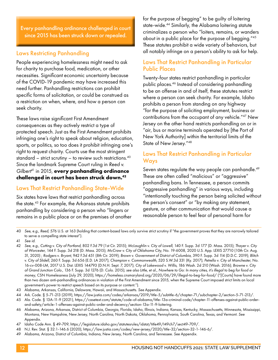Every panhandling ordinance challenged in court since 2015 has been struck down or repealed.

#### Laws Restricting Panhandling

People experiencing homelessness might need to ask for charity to purchase food, medication, or other necessities. Significant economic uncertainty because of the COVID-19 pandemic may have increased this need further. Panhandling restrictions can prohibit specific forms of solicitation, or could be construed as a restriction on when, where, and how a person can seek charity.

These laws raise significant First Amendment consequences as they actively restrict a type of protected speech. Just as the First Amendment prohibits infringing one's right to speak about religion, education, sports, or politics, so too does it prohibit infringing one's right to request charity. Courts use the most stringent standard – strict scrutiny – to review such restrictions. $40$ Since the landmark Supreme Court ruling in *Reed v. Gilbert*<sup>41</sup> in 2015, **every panhandling ordinance challenged in court has been struck down.42**

#### Laws That Restrict Panhandling State-Wide

Six states have laws that restrict panhandling across the state.43 For example, the Arkansas statute prohibits panhandling by considering a person who "lingers or remains in a public place or on the premises of another for the purpose of begging" to be guilty of loitering state-wide.<sup>44</sup> Similarly, the Alabama loitering statute criminalizes a person who "loiters, remains, or wanders about in a public place for the purpose of begging."45 These statutes prohibit a wide variety of behaviors, but all notably infringe on a person's ability to ask for help.

#### Laws That Restrict Panhandling in Particular Public Places

Twenty-four states restrict panhandling in particular public places.46 Instead of considering panhandling to be an offense in and of itself, these statutes restrict where a person can seek charity. For example, Idaho prohibits a person from standing on any highway "for the purpose of soliciting employment, business or contributions from the occupant of any vehicle."47 New Jersey on the other hand restricts panhandling on or in "air, bus or marine terminals operated by [the Port of New York Authority] within the territorial limits of the State of New Jersey."48

#### Laws That Restrict Panhandling in Particular Ways

Seven states regulate the way people can panhandle.<sup>49</sup> These are often called "malicious" or "aggressive" panhandling bans. In Tennessee, a person commits "aggressive panhandling" in various ways, including "intentionally touching the person being solicited without the person's consent" or "by making any statement, gesture, or other communication that would cause a reasonable person to feel fear of personal harm for

40 *See, e.g.*, *Reed*, 576 U.S. at 163 (holding that content-based laws only survive strict scrutiny if "the government proves that they are narrowly tailored to serve a compelling state interest").

- 43 Alabama, Arkansas, California, Delaware, Hawaii, and Massachusetts. *See* Appendix.
- 44 Ark. Code. § 5-71-213 (2019), https://law.justia.com/codes/arkansas/2019/title-5/subtitle-6/chapter-71/subchapter-2/section-5-71-213/.
- 45 Ala. Code. § 13A-11-9 (2021), https://casetext.com/statute/code-of-alabama/title-13a-criminal-code/chapter-11-offenses-against-public-orderand-safety/article-1-offenses-against-public-order-and-decency/section-13a-11-9-loitering.
- 46 Alabama, Arizona, Arkansas, District of Columbia, Georgia, Florida, Idaho, Illinois, Indiana, Kansas, Kentucky, Massachusetts, Minnesota, Mississippi, Montana, New Hampshire, New Jersey, North Carolina, North Dakota, Oklahoma, Pennsylvania, South Carolina, Texas, and Vermont. *See* Appendix.
- 47 Idaho Code Ann. § 49-709, https://legislature.idaho.gov/statutesrules/idstat/title49/t49ch7/sect49-709/.
- 48 N.J. Rev. Stat. § 32:1-146.6 (2020), https://law.justia.com/codes/new-jersey/2020/title-32/section-32-1-146-6/.
- 49 Alabama, Arizona, District of Columbia, Indiana, New Jersey, North Carolina, and Tennessee. *See* Appendix.

<sup>41</sup> *See id.*

<sup>42</sup> *See*, *e.g.*, *Cutting* v. *City of Portland*, 802 F.3d 79 (1st Cir. 2015); *McLaughlin* v. *City of Lowell*, 140 F. Supp. 3d 177 (D. Mass. 2015); *Thayer* v. *City of Worcester*, 144 F. Supp. 3d 218 (D. Mass. 2015); *McCraw v. City of Oklahoma City*, No. 19-6008, 2020 U.S. App. LEXIS 27710 (10th Cir. Aug. 31, 2020) ; *Rodgers* v. *Bryant*, 942 F.3d 451 (8th Cir. 2019); *Brown* v. *Government of District of Columbia*, 390 F. Supp. 3d 114 (D.D.C. 2019); *Blitch* v. *City of Slidell*, 260 F. Supp. 3d 656 (E.D. LA 2017); *Champion* v. *Commonwealth*, 520 S.W.3d 331 (Ky. 2017); *Petrello* v. *City of Manchester*, No. 16-cv-008-LM, 2017 U.S. Dist. LEXIS 144793 (D.N.H. Sept. 7, 2017); *City of Lakewood* v. *Willis*, 186 Wash. 2d 210 (Wash. 2016); *Browne* v. *City of Grand Junction Colo*., 136 F. Supp. 3d 1276 (D. Colo. 2015); *see also* Little, et al., *Nowhere to Go: In many cities, it's illegal to beg for food or money*, CSN Homelessness (July 29, 2020), https://homeless.cnsmaryland.org/2020/06/29/illegal-to-beg-for-food/ ("[Courts] have found more than two dozen anti-panhandling ordinances in violation of the First Amendment since 2015, when the Supreme Court imposed strict limits on local government's power to restrict speech based on its purpose or content.").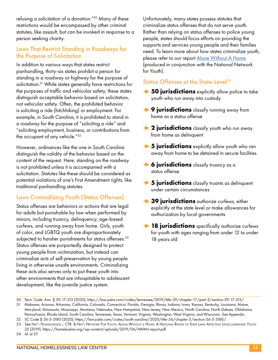refusing a solicitation of a donation."50 Many of these restrictions would be encompassed by other criminal statutes, like assault, but can be invoked in response to a person seeking charity.

#### Laws That Restrict Standing in Roadways for the Purpose of Solicitation

In addition to various ways that states restrict panhandling, thirty-six states prohibit a person for standing in a roadway or highway for the purpose of solicitation.<sup>51</sup> While states generally have restrictions for the purposes of traffic and vehicular safety, these states distinguish acceptable behavior based on solicitation, not vehicular safety. Often, the prohibited behavior is soliciting a ride (hitchhiking) or employment. For example, in South Carolina, it is prohibited to stand in a roadway for the purpose of "soliciting a ride" and "soliciting employment, business, or contributions from the occupant of any vehicle."<sup>52</sup>

However, ordinances like the one in South Carolina distinguish the validity of the behavior based on the content of the request. Here, standing on the roadway is not prohibited unless it is accompanied with a solicitation. Statutes like these should be considered as potential violations of one's First Amendment rights, like traditional panhandling statutes.

#### Laws Criminalizing Youth (Status Offenses)

Status offenses are behaviors or actions that are legal for adults but punishable by law when performed by minors, including truancy, delinquency, age-based curfews, and running away from home. Girls, youth of color, and LGBTQ youth are disproportionately subjected to harsher punishments for status offenses.<sup>53</sup> Status offenses are purportedly designed to protect young people from victimization, but instead can criminalize acts of self-preservation by young people living in otherwise unsafe environments. Criminalizing these acts also serves only to put these youth into other environments that are inhospitable to adolescent development, like the juvenile justice system.

Unfortunately, many states possess statutes that criminalize status offenses that do not serve youth. Rather than relying on status offenses to police young people, states should focus efforts on providing the supports and services young people and their families need. To learn more about how states criminalize youth, please refer to our report [Alone Without A Home](https://nlchp.org/wp-content/uploads/2019/03/AWAH-report_2019.pdf) (produced in conjunction with the National Network for Youth).

#### Status Offenses at the State-Level*<sup>54</sup>*

- **→ 50 jurisdictions** explicitly allow police to take youth who run away into custody
- **→ 9 jurisdictions** classify running away from home as a status offense
- **→ 2 jurisdictions** classify youth who run away from home as delinquent
- **→ 5 jurisdictions** explicitly allow youth who ran away from home to be detained in secure facilities
- **→ 6 jurisdictions** classify truancy as a status offense
- **→ 5 jurisdictions** classify truants as delinquent under certain circumstances
- **→ 39 jurisdictions** authorize curfews, either explicitly at the state level or make allowances for authorization by local governments
- **→ 18 jurisdictions** specifically authorize curfews for youth with ages ranging from under 12 to under 18 years old

<sup>50</sup> Tenn. Code. Ann. § 39-17-313 (2020), https://law.justia.com/codes/tennessee/2019/title-39/chapter-17/part-3/section-39-17-313/.

<sup>51</sup> Alabama, Arizona, Arkansas, California, Colorado, Connecticut, Florida, Georgia, Illinois, Indiana, Iowa, Kansas, Kentucky, Louisiana, Maine, Maryland, Minnesota, Mississippi, Montana, Nebraska, New Hampshire, New Jersey, New Mexico, North Carolina, North Dakota, Oklahoma, Pennsylvania, Rhode Island, South Carolina, Tennessee, Texas, Vermont, Virginia, Washington, West Virginia, and Wisconsin. *See* Appendix.

<sup>52</sup> SC Code § 56-5-3180 (2020), https://law.justia.com/codes/south-carolina/2020/title-56/chapter-5/section-56-5-3180/.

<sup>53</sup> *See* Nat'l Homelessness l. CTR. & Nat'l Network For Youth, Alone Without a Home: A National Review of State Laws Affecting Unaccompanied Youth 25 (2019), https://homelesslaw.org/wp-content/uploads/2019/04/AWAH-report.pdf.

<sup>54</sup> *Id.* at 27.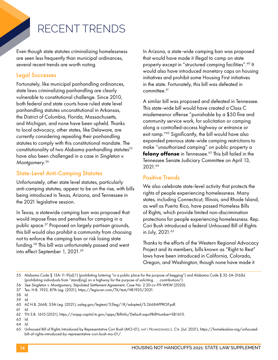## RECENT TRENDS

Even though state statutes criminalizing homelessness are seen less frequently than municipal ordinances, several recent trends are worth noting.

#### Legal Successes

Fortunately, like municipal panhandling ordinances, state laws criminalizing panhandling are clearly vulnerable to constitutional challenge. Since 2010, both federal and state courts have ruled state level panhandling statutes unconstitutional in Arkansas, the District of Columbia, Florida, Massachusetts, and Michigan, and none have been upheld. Thanks to local advocacy, other states, like Delaware, are currently considering repealing their panhandling statutes to comply with this constitutional mandate. The constitutionality of two Alabama panhandling statutes<sup>55</sup> have also been challenged in a case in *Singleton v. Montgomery*. 56

#### State-Level Anti-Camping Statutes

Unfortunately, other state level statutes, particularly anti-camping statutes, appear to be on the rise, with bills being introduced in Texas, Arizona, and Tennessee in the 2021 legislative session.

In Texas, a statewide camping ban was proposed that would impose fines and penalties for camping in a public space.57 Proposed on largely partisan grounds, this bill would also prohibit a community from choosing not to enforce the camping ban or risk losing state funding.58 This bill was unfortunately passed and went into effect September 1, 2021.<sup>59</sup>

In Arizona, a state-wide camping ban was proposed that would have made it illegal to camp on state property except in "structured camping facilities".60 It would also have introduced monetary caps on housing initiatives and prohibit some Housing First initiatives in the state. Fortunately, this bill was defeated in committee.<sup>61</sup>

A similar bill was proposed and defeated in Tennessee. This state-wide bill would have created a Class C misdemeanor offense "punishable by a \$50 fine and community service work, for solicitation or camping along a controlled-access highway or entrance or exit ramp."62 Significantly, the bill would have also expanded previous state-wide camping restrictions to make "unauthorized camping" on public property a **felony offense** in Tennessee.63 This bill failed in the Tennessee Senate Judiciary Committee on April 13, 2021.64

#### Positive Trends

We also celebrate state-level activity that protects the rights of people experiencing homelessness. Many states, including Connecticut, Illinois, and Rhode Island, as well as Puerto Rico, have passed Homeless Bills of Rights, which provide limited non-discrimination protections for people experiencing homelessness. Rep. Cori Bush introduced a federal Unhoused Bill of Rights in July, 2021.65

Thanks to the efforts of the Western Regional Advocacy Project and its members, bills known as "Right to Rest" laws have been introduced in California, Colorado, Oregon, and Washington, though none have made it

<sup>55</sup> Alabama Code § 13A-11-9(a)(1) (prohibiting loitering "in a public place for the purpose of begging") and Alabama Code § 32-5A-216(b) (prohibiting individuals from "stand[ing] on a highway for the purpose of soliciting . . . contributions").

<sup>56</sup> *See Singleton v. Montgomery*, Stipulated Settlement Agreement, Case No. 2:20-cv-99-WKW (2020).

<sup>57</sup> Tex. H.B. 1925, 87th Leg. (2021), https://legiscan.com/TX/text/HB1925/2021.

<sup>58</sup> *Id.*

<sup>59</sup> *Id.*

<sup>60</sup> AZ H.B. 2668, 55th Leg. (2021), azleg.gov/legtext/55leg/1R/adopted/S.2668APPROP.pdf.

<sup>61</sup> *Id.*

<sup>62</sup> TN S.B. 1610 (2021), https://wapp.capitol.tn.gov/apps/BillInfo/Default.aspx?BillNumber=SB1610.

<sup>63</sup> *Id.*

<sup>64</sup> *Id.*

<sup>65</sup> Unhoused Bill of Rights Introduced by Representative Cori Bush (MO-01), NAT'L HOMELESSNESS L. CTR. (Jul. 2021), https://homelesslaw.org/unhousedbill-of-rights-introduced-by-representative-cori-bush-mo-01/.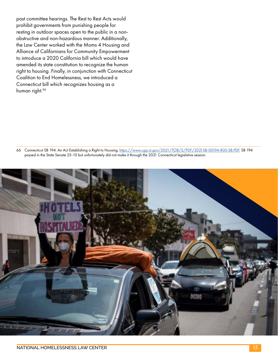past committee hearings. The Rest to Rest Acts would prohibit governments from punishing people for resting in outdoor spaces open to the public in a nonobstructive and non-hazardous manner. Additionally, the Law Center worked with the Moms 4 Housing and Alliance of Californians for Community Empowerment to introduce a 2020 California bill which would have amended its state constitution to recognize the human right to housing. Finally, in conjunction with Connecticut Coalition to End Homelessness, we introduced a Connecticut bill which recognizes housing as a human right.<sup>66</sup>

66 Connecticut SB 194: An Act Establishing a Right to Housing,<https://www.cga.ct.gov/2021/TOB/S/PDF/2021SB-00194-R00-SB.PDF>. SB 194 passed in the State Senate 25-10 but unfortunately did not make it through the 2021 Connecticut legislative session.

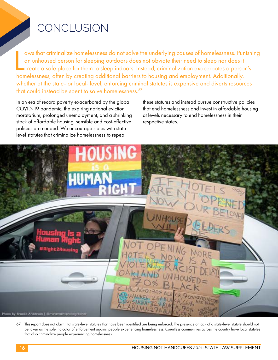## **CONCLUSION**

aws that criminalize homelessness do not solve the underlying causes of homelessness. Pun<br>an unhoused person for sleeping outdoors does not obviate their need to sleep nor does it<br>create a safe place for them to sleep indo aws that criminalize homelessness do not solve the underlying causes of homelessness. Punishing an unhoused person for sleeping outdoors does not obviate their need to sleep nor does it create a safe place for them to sleep indoors. Instead, criminalization exacerbates a person's whether at the state- or local- level, enforcing criminal statutes is expensive and diverts resources that could instead be spent to solve homelessness.<sup>67</sup>

In an era of record poverty exacerbated by the global COVID-19 pandemic, the expiring national eviction moratorium, prolonged unemployment, and a shrinking stock of affordable housing, sensible and cost-effective policies are needed. We encourage states with statelevel statutes that criminalize homelessness to repeal

these statutes and instead pursue constructive policies that end homelessness and invest in affordable housing at levels necessary to end homelessness in their respective states.



67 This report does not claim that state-level statutes that have been identified are being enforced. The presence or lack of a state-level statute should not be taken as the sole indicator of enforcement against people experiencing homelessness. Countless communities across the country have local statutes that also criminalize people experiencing homelessness.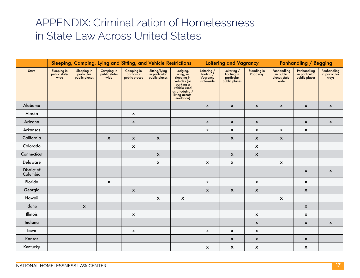### APPENDIX: Criminalization of Homelessness in State Law Across United States

|                         | Sleeping, Camping, Lying and Sitting, and Vehicle Restrictions |                                            |                                     |                                           |                                                 |                                                                                                                                    | Loitering and Vagrancy                             |                                                          |                           | <b>Panhandling / Begging</b>                      |                                               |                                      |
|-------------------------|----------------------------------------------------------------|--------------------------------------------|-------------------------------------|-------------------------------------------|-------------------------------------------------|------------------------------------------------------------------------------------------------------------------------------------|----------------------------------------------------|----------------------------------------------------------|---------------------------|---------------------------------------------------|-----------------------------------------------|--------------------------------------|
| State                   | Sleeping in<br>public state-<br>wide                           | Sleeping in<br>particular<br>public places | Camping in<br>public state-<br>wide | Camping in<br>particular<br>public places | Sitting/lying<br>in particular<br>public places | Lodging,<br>living, or<br>sleeping in<br>vehicles (or<br>parking a<br>vehicle used<br>as a lodging /<br>living accom-<br>modation) | Loitering /<br>Loafing /<br>Vagrancy<br>state-wide | Loitering /<br>Loafing in<br>particular<br>public places | Standing in<br>Roadway    | Panhandling<br>in public<br>places state-<br>wide | Panhandling<br>in particular<br>public places | Panhandling<br>in particular<br>ways |
| Alabama                 |                                                                |                                            |                                     |                                           |                                                 |                                                                                                                                    | $\boldsymbol{\mathsf{x}}$                          | $\boldsymbol{\mathsf{x}}$                                | $\pmb{\mathsf{x}}$        | $\boldsymbol{\mathsf{x}}$                         | $\boldsymbol{\mathsf{x}}$                     | $\boldsymbol{\mathsf{x}}$            |
| Alaska                  |                                                                |                                            |                                     | $\boldsymbol{\mathsf{x}}$                 |                                                 |                                                                                                                                    |                                                    |                                                          |                           |                                                   |                                               |                                      |
| Arizona                 |                                                                |                                            |                                     | $\boldsymbol{\mathsf{X}}$                 |                                                 |                                                                                                                                    | $\boldsymbol{\mathsf{x}}$                          | $\boldsymbol{\mathsf{x}}$                                | $\pmb{\mathsf{x}}$        |                                                   | $\mathsf{x}$                                  | $\boldsymbol{\mathsf{x}}$            |
| Arkansas                |                                                                |                                            |                                     |                                           |                                                 |                                                                                                                                    | $\boldsymbol{\mathsf{x}}$                          | $\pmb{\chi}$                                             | $\boldsymbol{\mathsf{x}}$ | $\boldsymbol{\mathsf{x}}$                         | $\boldsymbol{\mathsf{x}}$                     |                                      |
| California              |                                                                |                                            | $\pmb{\mathsf{x}}$                  | $\boldsymbol{\mathsf{x}}$                 | $\boldsymbol{\mathsf{x}}$                       |                                                                                                                                    |                                                    | $\pmb{\mathsf{x}}$                                       | $\boldsymbol{\mathsf{X}}$ | $\boldsymbol{\mathsf{x}}$                         |                                               |                                      |
| Colorado                |                                                                |                                            |                                     | $\boldsymbol{\mathsf{x}}$                 |                                                 |                                                                                                                                    |                                                    |                                                          | $\boldsymbol{\mathsf{x}}$ |                                                   |                                               |                                      |
| Connecticut             |                                                                |                                            |                                     |                                           | $\boldsymbol{\mathsf{x}}$                       |                                                                                                                                    |                                                    | $\boldsymbol{\mathsf{x}}$                                | $\boldsymbol{\mathsf{X}}$ |                                                   |                                               |                                      |
| Delaware                |                                                                |                                            |                                     |                                           | $\boldsymbol{\mathsf{x}}$                       |                                                                                                                                    | $\boldsymbol{\mathsf{x}}$                          | $\pmb{\mathsf{x}}$                                       |                           | $\boldsymbol{\mathsf{x}}$                         |                                               |                                      |
| District of<br>Columbia |                                                                |                                            |                                     |                                           |                                                 |                                                                                                                                    |                                                    |                                                          |                           |                                                   | $\boldsymbol{\mathsf{x}}$                     | $\boldsymbol{\mathsf{X}}$            |
| Florida                 |                                                                |                                            | $\boldsymbol{\mathsf{x}}$           |                                           |                                                 |                                                                                                                                    | $\boldsymbol{\mathsf{x}}$                          |                                                          | $\pmb{\mathsf{X}}$        |                                                   | $\boldsymbol{\mathsf{x}}$                     |                                      |
| Georgia                 |                                                                |                                            |                                     | $\boldsymbol{\mathsf{X}}$                 |                                                 |                                                                                                                                    | $\pmb{\mathsf{X}}$                                 | $\pmb{\mathsf{x}}$                                       | $\boldsymbol{\mathsf{X}}$ |                                                   | $\boldsymbol{\mathsf{x}}$                     |                                      |
| Hawaii                  |                                                                |                                            |                                     |                                           | $\boldsymbol{\mathsf{x}}$                       | $\boldsymbol{\mathsf{x}}$                                                                                                          |                                                    |                                                          |                           | $\boldsymbol{\mathsf{x}}$                         |                                               |                                      |
| Idaho                   |                                                                | $\mathsf{x}$                               |                                     |                                           |                                                 |                                                                                                                                    |                                                    |                                                          |                           |                                                   | $\boldsymbol{\mathsf{x}}$                     |                                      |
| Illinois                |                                                                |                                            |                                     | $\boldsymbol{\mathsf{x}}$                 |                                                 |                                                                                                                                    |                                                    |                                                          | $\pmb{\mathsf{X}}$        |                                                   | $\boldsymbol{\mathsf{x}}$                     |                                      |
| Indiana                 |                                                                |                                            |                                     |                                           |                                                 |                                                                                                                                    |                                                    |                                                          | $\pmb{\mathsf{x}}$        |                                                   | $\boldsymbol{\mathsf{x}}$                     | $\boldsymbol{\mathsf{x}}$            |
| lowa                    |                                                                |                                            |                                     | $\boldsymbol{\mathsf{x}}$                 |                                                 |                                                                                                                                    | $\boldsymbol{\mathsf{x}}$                          | $\boldsymbol{\mathsf{x}}$                                | $\boldsymbol{\mathsf{x}}$ |                                                   |                                               |                                      |
| Kansas                  |                                                                |                                            |                                     |                                           |                                                 |                                                                                                                                    |                                                    | $\boldsymbol{\mathsf{x}}$                                | $\boldsymbol{\mathsf{x}}$ |                                                   | $\boldsymbol{\mathsf{x}}$                     |                                      |
| Kentucky                |                                                                |                                            |                                     |                                           |                                                 |                                                                                                                                    | $\pmb{\mathsf{x}}$                                 | $\pmb{\mathsf{x}}$                                       | $\boldsymbol{\mathsf{x}}$ |                                                   | $\boldsymbol{\mathsf{X}}$                     |                                      |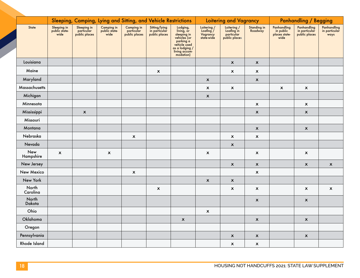|                   | Sleeping, Camping, Lying and Sitting, and Vehicle Restrictions |                                            |                                     |                                           |                                                 |                                                                                                                                    | <b>Loitering and Vagrancy</b>                      |                                                          |                           | <b>Panhandling / Begging</b>                      |                                               |                                      |
|-------------------|----------------------------------------------------------------|--------------------------------------------|-------------------------------------|-------------------------------------------|-------------------------------------------------|------------------------------------------------------------------------------------------------------------------------------------|----------------------------------------------------|----------------------------------------------------------|---------------------------|---------------------------------------------------|-----------------------------------------------|--------------------------------------|
| State             | Sleeping in<br>public state-<br>wide                           | Sleeping in<br>particular<br>public places | Camping in<br>public state-<br>wide | Camping in<br>particular<br>public places | Sitting/lying<br>in particular<br>public places | Lodging,<br>living, or<br>sleeping in<br>vehicles (or<br>parking a<br>vehicle used<br>as a lodging /<br>living accom-<br>modation) | Loitering /<br>Loafing /<br>Vagrancy<br>state-wide | Loitering /<br>Loafing in<br>particular<br>public places | Standing in<br>Roadway    | Panhandling<br>in public<br>places state-<br>wide | Panhandling<br>in particular<br>public places | Panhandling<br>in particular<br>ways |
| Louisiana         |                                                                |                                            |                                     |                                           |                                                 |                                                                                                                                    |                                                    | $\pmb{\mathsf{x}}$                                       | $\pmb{\mathsf{x}}$        |                                                   |                                               |                                      |
| Maine             |                                                                |                                            |                                     |                                           | $\boldsymbol{\mathsf{x}}$                       |                                                                                                                                    |                                                    | $\pmb{\mathsf{x}}$                                       | $\boldsymbol{\mathsf{x}}$ |                                                   |                                               |                                      |
| Maryland          |                                                                |                                            |                                     |                                           |                                                 |                                                                                                                                    | $\pmb{\mathsf{X}}$                                 |                                                          | $\pmb{\mathsf{x}}$        |                                                   |                                               |                                      |
| Massachusetts     |                                                                |                                            |                                     |                                           |                                                 |                                                                                                                                    | $\pmb{\mathsf{X}}$                                 | $\boldsymbol{\mathsf{X}}$                                |                           | $\pmb{\mathsf{X}}$                                | $\boldsymbol{\mathsf{x}}$                     |                                      |
| Michigan          |                                                                |                                            |                                     |                                           |                                                 |                                                                                                                                    | $\pmb{\mathsf{x}}$                                 |                                                          |                           |                                                   |                                               |                                      |
| Minnesota         |                                                                |                                            |                                     |                                           |                                                 |                                                                                                                                    |                                                    |                                                          | $\pmb{\mathsf{x}}$        |                                                   | $\pmb{\mathsf{x}}$                            |                                      |
| Mississippi       |                                                                | $\pmb{\mathsf{x}}$                         |                                     |                                           |                                                 |                                                                                                                                    |                                                    |                                                          | $\pmb{\mathsf{x}}$        |                                                   | $\boldsymbol{\mathsf{x}}$                     |                                      |
| Missouri          |                                                                |                                            |                                     |                                           |                                                 |                                                                                                                                    |                                                    |                                                          |                           |                                                   |                                               |                                      |
| Montana           |                                                                |                                            |                                     |                                           |                                                 |                                                                                                                                    |                                                    |                                                          | $\pmb{\mathsf{x}}$        |                                                   | $\pmb{\mathsf{x}}$                            |                                      |
| Nebraska          |                                                                |                                            |                                     | $\boldsymbol{\mathsf{X}}$                 |                                                 |                                                                                                                                    |                                                    | $\boldsymbol{\mathsf{x}}$                                | $\pmb{\mathsf{x}}$        |                                                   |                                               |                                      |
| Nevada            |                                                                |                                            |                                     |                                           |                                                 |                                                                                                                                    |                                                    | $\pmb{\mathsf{x}}$                                       |                           |                                                   |                                               |                                      |
| New<br>Hampshire  | $\pmb{\mathsf{x}}$                                             |                                            | $\pmb{\mathsf{X}}$                  |                                           |                                                 |                                                                                                                                    | $\pmb{\mathsf{X}}$                                 |                                                          | $\pmb{\mathsf{x}}$        |                                                   | $\pmb{\chi}$                                  |                                      |
| New Jersey        |                                                                |                                            |                                     |                                           |                                                 |                                                                                                                                    |                                                    | $\boldsymbol{\mathsf{x}}$                                | $\pmb{\mathsf{x}}$        |                                                   | $\boldsymbol{\mathsf{x}}$                     | $\pmb{\mathsf{X}}$                   |
| New Mexico        |                                                                |                                            |                                     | $\boldsymbol{\mathsf{X}}$                 |                                                 |                                                                                                                                    |                                                    |                                                          | $\pmb{\mathsf{x}}$        |                                                   |                                               |                                      |
| New York          |                                                                |                                            |                                     |                                           |                                                 |                                                                                                                                    | $\pmb{\mathsf{x}}$                                 | $\pmb{\mathsf{x}}$                                       |                           |                                                   |                                               |                                      |
| North<br>Carolina |                                                                |                                            |                                     |                                           | $\pmb{\mathsf{x}}$                              |                                                                                                                                    |                                                    | $\boldsymbol{\mathsf{X}}$                                | $\pmb{\mathsf{x}}$        |                                                   | $\boldsymbol{\mathsf{x}}$                     | $\pmb{\mathsf{X}}$                   |
| North<br>Dakota   |                                                                |                                            |                                     |                                           |                                                 |                                                                                                                                    |                                                    |                                                          | $\pmb{\mathsf{x}}$        |                                                   | $\boldsymbol{\mathsf{x}}$                     |                                      |
| Ohio              |                                                                |                                            |                                     |                                           |                                                 |                                                                                                                                    | $\boldsymbol{\mathsf{x}}$                          |                                                          |                           |                                                   |                                               |                                      |
| Oklahoma          |                                                                |                                            |                                     |                                           |                                                 | $\boldsymbol{\mathsf{x}}$                                                                                                          |                                                    |                                                          | $\pmb{\mathsf{x}}$        |                                                   | $\boldsymbol{\mathsf{x}}$                     |                                      |
| Oregon            |                                                                |                                            |                                     |                                           |                                                 |                                                                                                                                    |                                                    |                                                          |                           |                                                   |                                               |                                      |
| Pennsylvania      |                                                                |                                            |                                     |                                           |                                                 |                                                                                                                                    |                                                    | $\pmb{\mathsf{x}}$                                       | $\pmb{\mathsf{x}}$        |                                                   | $\boldsymbol{\mathsf{X}}$                     |                                      |
| Rhode Island      |                                                                |                                            |                                     |                                           |                                                 |                                                                                                                                    |                                                    | $\boldsymbol{\mathsf{x}}$                                | $\boldsymbol{\mathsf{x}}$ |                                                   |                                               |                                      |